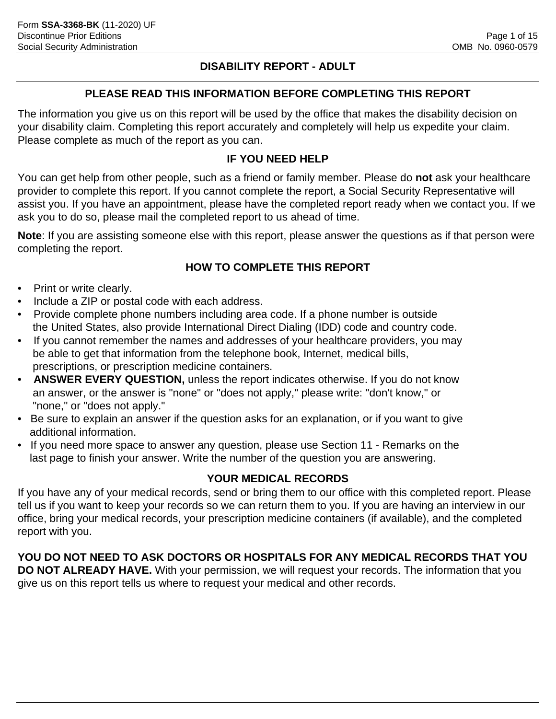## **DISABILITY REPORT - ADULT**

## **PLEASE READ THIS INFORMATION BEFORE COMPLETING THIS REPORT**

The information you give us on this report will be used by the office that makes the disability decision on your disability claim. Completing this report accurately and completely will help us expedite your claim. Please complete as much of the report as you can.

## **IF YOU NEED HELP**

You can get help from other people, such as a friend or family member. Please do **not** ask your healthcare provider to complete this report. If you cannot complete the report, a Social Security Representative will assist you. If you have an appointment, please have the completed report ready when we contact you. If we ask you to do so, please mail the completed report to us ahead of time.

**Note**: If you are assisting someone else with this report, please answer the questions as if that person were completing the report.

## **HOW TO COMPLETE THIS REPORT**

- Print or write clearly.
- Include a ZIP or postal code with each address.
- Provide complete phone numbers including area code. If a phone number is outside the United States, also provide International Direct Dialing (IDD) code and country code.
- If you cannot remember the names and addresses of your healthcare providers, you may be able to get that information from the telephone book, Internet, medical bills, prescriptions, or prescription medicine containers.
- **ANSWER EVERY QUESTION,** unless the report indicates otherwise. If you do not know an answer, or the answer is "none" or "does not apply," please write: "don't know," or "none," or "does not apply."
- Be sure to explain an answer if the question asks for an explanation, or if you want to give additional information.
- If you need more space to answer any question, please use Section 11 Remarks on the last page to finish your answer. Write the number of the question you are answering.

## **YOUR MEDICAL RECORDS**

If you have any of your medical records, send or bring them to our office with this completed report. Please tell us if you want to keep your records so we can return them to you. If you are having an interview in our office, bring your medical records, your prescription medicine containers (if available), and the completed report with you.

**YOU DO NOT NEED TO ASK DOCTORS OR HOSPITALS FOR ANY MEDICAL RECORDS THAT YOU DO NOT ALREADY HAVE.** With your permission, we will request your records. The information that you give us on this report tells us where to request your medical and other records.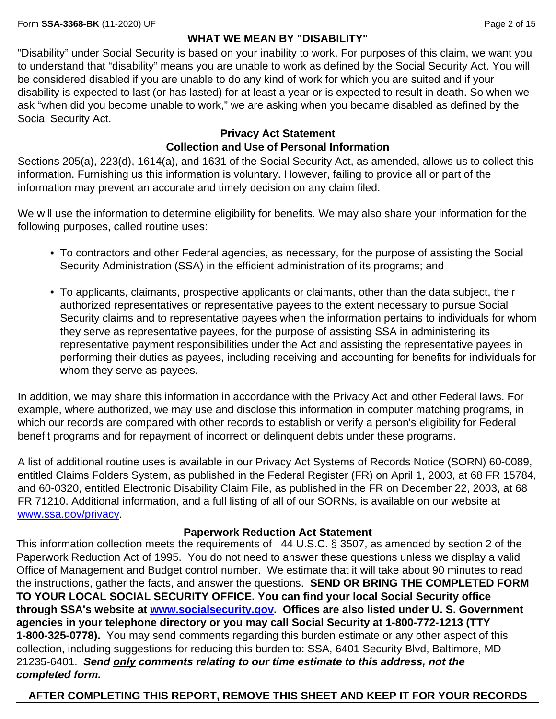## **WHAT WE MEAN BY "DISABILITY"**

"Disability" under Social Security is based on your inability to work. For purposes of this claim, we want you to understand that "disability" means you are unable to work as defined by the Social Security Act. You will be considered disabled if you are unable to do any kind of work for which you are suited and if your disability is expected to last (or has lasted) for at least a year or is expected to result in death. So when we ask "when did you become unable to work," we are asking when you became disabled as defined by the Social Security Act.

## **Privacy Act Statement Collection and Use of Personal Information**

Sections 205(a), 223(d), 1614(a), and 1631 of the Social Security Act, as amended, allows us to collect this information. Furnishing us this information is voluntary. However, failing to provide all or part of the information may prevent an accurate and timely decision on any claim filed.

We will use the information to determine eligibility for benefits. We may also share your information for the following purposes, called routine uses:

- To contractors and other Federal agencies, as necessary, for the purpose of assisting the Social Security Administration (SSA) in the efficient administration of its programs; and
- To applicants, claimants, prospective applicants or claimants, other than the data subject, their authorized representatives or representative payees to the extent necessary to pursue Social Security claims and to representative payees when the information pertains to individuals for whom they serve as representative payees, for the purpose of assisting SSA in administering its representative payment responsibilities under the Act and assisting the representative payees in performing their duties as payees, including receiving and accounting for benefits for individuals for whom they serve as payees.

In addition, we may share this information in accordance with the Privacy Act and other Federal laws. For example, where authorized, we may use and disclose this information in computer matching programs, in which our records are compared with other records to establish or verify a person's eligibility for Federal benefit programs and for repayment of incorrect or delinquent debts under these programs.

A list of additional routine uses is available in our Privacy Act Systems of Records Notice (SORN) 60-0089, entitled Claims Folders System, as published in the Federal Register (FR) on April 1, 2003, at 68 FR 15784, and 60-0320, entitled Electronic Disability Claim File, as published in the FR on December 22, 2003, at 68 FR 71210. Additional information, and a full listing of all of our SORNs, is available on our website at <www.ssa.gov/privacy>.

## **Paperwork Reduction Act Statement**

This information collection meets the requirements of 44 U.S.C. § 3507, as amended by section 2 of the Paperwork Reduction Act of 1995. You do not need to answer these questions unless we display a valid Office of Management and Budget control number. We estimate that it will take about 90 minutes to read the instructions, gather the facts, and answer the questions. **SEND OR BRING THE COMPLETED FORM TO YOUR LOCAL SOCIAL SECURITY OFFICE. You can find your local Social Security office through SSA's website at [www.socialsecurity.gov.](http://www.socialsecurity.gov) Offices are also listed under U. S. Government agencies in your telephone directory or you may call Social Security at 1-800-772-1213 (TTY 1-800-325-0778).** You may send comments regarding this burden estimate or any other aspect of this collection, including suggestions for reducing this burden to: SSA, 6401 Security Blvd, Baltimore, MD 21235-6401. *Send only comments relating to our time estimate to this address, not the completed form.*

# **AFTER COMPLETING THIS REPORT, REMOVE THIS SHEET AND KEEP IT FOR YOUR RECORDS**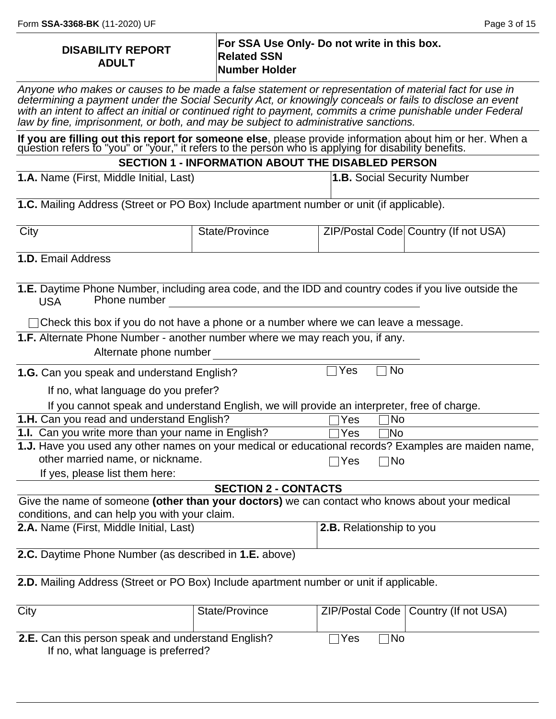| <b>DISABILITY REPORT</b> | For SSA Use Only- Do not write in this box. |
|--------------------------|---------------------------------------------|
| <b>ADULT</b>             | <b>Related SSN</b>                          |
|                          | Number Holder                               |

*Anyone who makes or causes to be made a false statement or representation of material fact for use in determining a payment under the Social Security Act, or knowingly conceals or fails to disclose an event*  with an intent to affect an initial or continued right to payment, commits a crime punishable under Federal *law by fine, imprisonment, or both, and may be subject to administrative sanctions.*

**If you are filling out this report for someone else**, please provide information about him or her. When a question refers to "you" or "your," it refers to the person who is applying for disability benefits.

**SECTION 1 - INFORMATION ABOUT THE DISABLED PERSON**

**1.A.** Name (First, Middle Initial, Last)

**1.B.** Social Security Number

**1.C.** Mailing Address (Street or PO Box) Include apartment number or unit (if applicable).

| City | State/Province | ZIP/Postal Code Country (If not USA) |
|------|----------------|--------------------------------------|
|      |                |                                      |

**1.D.** Email Address

| 1.E. Daytime Phone Number, including area code, and the IDD and country codes if you live outside the<br>Phone number<br><b>USA</b> |                                                                                                |     |     |                                        |  |
|-------------------------------------------------------------------------------------------------------------------------------------|------------------------------------------------------------------------------------------------|-----|-----|----------------------------------------|--|
| $\Box$ Check this box if you do not have a phone or a number where we can leave a message.                                          |                                                                                                |     |     |                                        |  |
| 1.F. Alternate Phone Number - another number where we may reach you, if any.                                                        |                                                                                                |     |     |                                        |  |
| Alternate phone number                                                                                                              |                                                                                                |     |     |                                        |  |
| 1.G. Can you speak and understand English?                                                                                          |                                                                                                | Yes | No  |                                        |  |
| If no, what language do you prefer?                                                                                                 |                                                                                                |     |     |                                        |  |
| If you cannot speak and understand English, we will provide an interpreter, free of charge.                                         |                                                                                                |     |     |                                        |  |
| 1.H. Can you read and understand English?                                                                                           |                                                                                                | Yes | No. |                                        |  |
| 1.I. Can you write more than your name in English?                                                                                  |                                                                                                | Yes | 1No |                                        |  |
| 1.J. Have you used any other names on your medical or educational records? Examples are maiden name,                                |                                                                                                |     |     |                                        |  |
| other married name, or nickname.<br>⊺No<br>Yes                                                                                      |                                                                                                |     |     |                                        |  |
| If yes, please list them here:                                                                                                      |                                                                                                |     |     |                                        |  |
|                                                                                                                                     | <b>SECTION 2 - CONTACTS</b>                                                                    |     |     |                                        |  |
|                                                                                                                                     | Give the name of someone (other than your doctors) we can contact who knows about your medical |     |     |                                        |  |
| conditions, and can help you with your claim.                                                                                       |                                                                                                |     |     |                                        |  |
| 2.A. Name (First, Middle Initial, Last)<br>2.B. Relationship to you                                                                 |                                                                                                |     |     |                                        |  |
| 2.C. Daytime Phone Number (as described in 1.E. above)                                                                              |                                                                                                |     |     |                                        |  |
| 2.D. Mailing Address (Street or PO Box) Include apartment number or unit if applicable.                                             |                                                                                                |     |     |                                        |  |
| City                                                                                                                                | State/Province                                                                                 |     |     | ZIP/Postal Code   Country (If not USA) |  |

**2.E.** Can this person speak and understand English?  $\Box$  Yes  $\Box$  No If no, what language is preferred?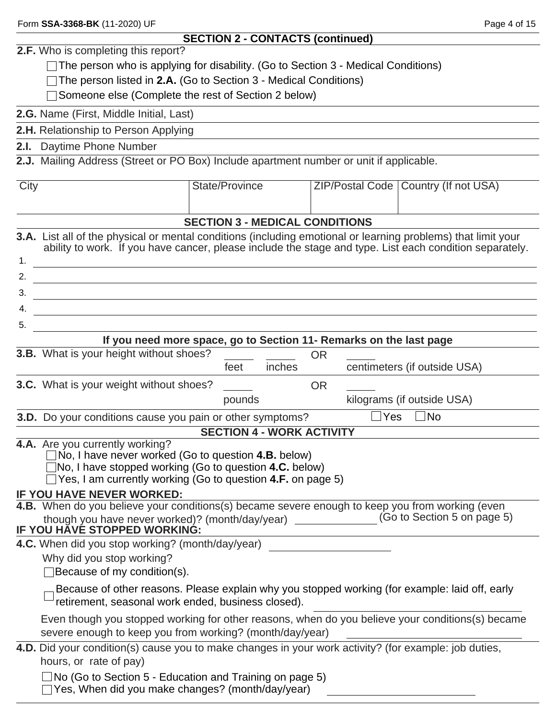|  |  |  |  |  | Form SSA-3368-BK (11-2020) UF |  |
|--|--|--|--|--|-------------------------------|--|
|--|--|--|--|--|-------------------------------|--|

# **SECTION 2 - CONTACTS (continued)**

|             | <b>2.F.</b> Who is completing this report?                                                                                                                                                                                                                 |  |  |  |  |
|-------------|------------------------------------------------------------------------------------------------------------------------------------------------------------------------------------------------------------------------------------------------------------|--|--|--|--|
|             | The person who is applying for disability. (Go to Section $3$ - Medical Conditions)                                                                                                                                                                        |  |  |  |  |
|             | The person listed in 2.A. (Go to Section 3 - Medical Conditions)                                                                                                                                                                                           |  |  |  |  |
|             | Someone else (Complete the rest of Section 2 below)                                                                                                                                                                                                        |  |  |  |  |
|             | 2.G. Name (First, Middle Initial, Last)                                                                                                                                                                                                                    |  |  |  |  |
|             | 2.H. Relationship to Person Applying                                                                                                                                                                                                                       |  |  |  |  |
|             | 2.I. Daytime Phone Number                                                                                                                                                                                                                                  |  |  |  |  |
|             | 2.J. Mailing Address (Street or PO Box) Include apartment number or unit if applicable.                                                                                                                                                                    |  |  |  |  |
|             |                                                                                                                                                                                                                                                            |  |  |  |  |
| <b>City</b> | <b>State/Province</b><br>ZIP/Postal Code   Country (If not USA)                                                                                                                                                                                            |  |  |  |  |
|             | <b>SECTION 3 - MEDICAL CONDITIONS</b>                                                                                                                                                                                                                      |  |  |  |  |
|             | <b>3.A.</b> List all of the physical or mental conditions (including emotional or learning problems) that limit your<br>ability to work. If you have cancer, please include the stage and type. List each condition separately.                            |  |  |  |  |
|             |                                                                                                                                                                                                                                                            |  |  |  |  |
| 3.          |                                                                                                                                                                                                                                                            |  |  |  |  |
| 4.          | <u> Andreas Andreas Andreas Andreas Andreas Andreas Andreas Andreas Andreas Andreas Andreas Andreas Andreas Andr</u>                                                                                                                                       |  |  |  |  |
| 5.          | <u> 1989 - Johann Barn, mars ann an t-Amhain ann an t-Amhain an t-Amhain an t-Amhain an t-Amhain an t-Amhain an t-</u>                                                                                                                                     |  |  |  |  |
|             | If you need more space, go to Section 11- Remarks on the last page                                                                                                                                                                                         |  |  |  |  |
|             | 3.B. What is your height without shoes?<br><b>OR</b>                                                                                                                                                                                                       |  |  |  |  |
|             | centimeters (if outside USA)<br>inches<br>feet                                                                                                                                                                                                             |  |  |  |  |
|             | <b>3.C.</b> What is your weight without shoes?<br><b>OR</b>                                                                                                                                                                                                |  |  |  |  |
|             | kilograms (if outside USA)<br>pounds                                                                                                                                                                                                                       |  |  |  |  |
|             | ∃No<br>$\Box$ Yes<br>3.D. Do your conditions cause you pain or other symptoms?                                                                                                                                                                             |  |  |  |  |
|             | <b>SECTION 4 - WORK ACTIVITY</b>                                                                                                                                                                                                                           |  |  |  |  |
|             | 4.A. Are you currently working?<br>No, I have never worked (Go to question 4.B. below)<br>$\Box$ No, I have stopped working (Go to question 4.C. below)<br>$\Box$ Yes, I am currently working (Go to question 4.F. on page 5)<br>IF YOU HAVE NEVER WORKED: |  |  |  |  |
|             | 4.B. When do you believe your conditions(s) became severe enough to keep you from working (even                                                                                                                                                            |  |  |  |  |
|             | though you have never worked)? (month/day/year) ____________(Go to Section 5 on page 5)<br>IF YOU HAVE STOPPED WORKING:                                                                                                                                    |  |  |  |  |
|             | 4.C. When did you stop working? (month/day/year)<br>Why did you stop working?<br>Because of my condition(s).                                                                                                                                               |  |  |  |  |
|             | Because of other reasons. Please explain why you stopped working (for example: laid off, early<br>retirement, seasonal work ended, business closed).                                                                                                       |  |  |  |  |
|             | Even though you stopped working for other reasons, when do you believe your conditions(s) became<br>severe enough to keep you from working? (month/day/year)                                                                                               |  |  |  |  |
|             | 4.D. Did your condition(s) cause you to make changes in your work activity? (for example: job duties,<br>hours, or rate of pay)                                                                                                                            |  |  |  |  |
|             | $\Box$ No (Go to Section 5 - Education and Training on page 5)<br>Yes, When did you make changes? (month/day/year)                                                                                                                                         |  |  |  |  |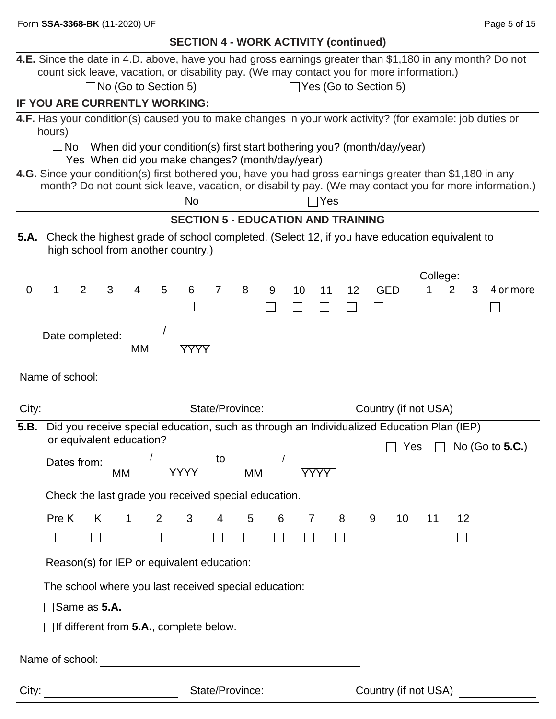| <b>SECTION 4 - WORK ACTIVITY (continued)</b>                                                                                                                     |  |  |  |
|------------------------------------------------------------------------------------------------------------------------------------------------------------------|--|--|--|
| 4.E. Since the date in 4.D. above, have you had gross earnings greater than \$1,180 in any month? Do not                                                         |  |  |  |
| count sick leave, vacation, or disability pay. (We may contact you for more information.)                                                                        |  |  |  |
| □No (Go to Section 5)<br>$\Box$ Yes (Go to Section 5)                                                                                                            |  |  |  |
| IF YOU ARE CURRENTLY WORKING:                                                                                                                                    |  |  |  |
| 4.F. Has your condition(s) caused you to make changes in your work activity? (for example: job duties or                                                         |  |  |  |
| hours)<br>$\square$ No                                                                                                                                           |  |  |  |
| When did your condition(s) first start bothering you? (month/day/year)<br>$\Box$ Yes When did you make changes? (month/day/year)                                 |  |  |  |
| 4.G. Since your condition(s) first bothered you, have you had gross earnings greater than \$1,180 in any                                                         |  |  |  |
| month? Do not count sick leave, vacation, or disability pay. (We may contact you for more information.)                                                          |  |  |  |
| $\neg$ No<br>Yes                                                                                                                                                 |  |  |  |
| <b>SECTION 5 - EDUCATION AND TRAINING</b>                                                                                                                        |  |  |  |
| Check the highest grade of school completed. (Select 12, if you have education equivalent to<br>5.A.<br>high school from another country.)                       |  |  |  |
| College:                                                                                                                                                         |  |  |  |
| $\overline{2}$<br>8<br>$\mathbf 0$<br>3<br>4<br>5<br>6<br>7<br>9<br>10<br><b>GED</b><br>3<br>11<br>12 <sup>°</sup><br>4 or more                                  |  |  |  |
|                                                                                                                                                                  |  |  |  |
|                                                                                                                                                                  |  |  |  |
| Date completed:                                                                                                                                                  |  |  |  |
| МM<br><b>YYYY</b>                                                                                                                                                |  |  |  |
| Name of school:                                                                                                                                                  |  |  |  |
| City:<br>State/Province:<br>Country (if not USA)                                                                                                                 |  |  |  |
| Did you receive special education, such as through an Individualized Education Plan (IEP)<br>5.B.                                                                |  |  |  |
| or equivalent education?                                                                                                                                         |  |  |  |
| Yes $\Box$ No (Go to 5.C.)<br>$\sqrt{2}$<br>to                                                                                                                   |  |  |  |
| Dates from:<br><b>YYYY</b><br><b>YYYY</b><br><b>MM</b><br>МM                                                                                                     |  |  |  |
| Check the last grade you received special education.                                                                                                             |  |  |  |
|                                                                                                                                                                  |  |  |  |
| Pre K<br>$2^{\circ}$<br>3 <sup>7</sup><br>$\overline{4}$<br>$5\overline{)}$<br>6<br>12<br>$\mathbf{1}$<br>$\overline{7}$<br>8<br>9<br>10 <sup>°</sup><br>K<br>11 |  |  |  |
| $\Box$<br>$\Box$<br>$\Box$<br>$\Box$<br>$\Box$<br>$\Box$<br>$\Box$                                                                                               |  |  |  |
| Reason(s) for IEP or equivalent education:<br><u> 1989 - Johann Stein, mars et al. (b. 1989)</u>                                                                 |  |  |  |
| The school where you last received special education:                                                                                                            |  |  |  |
| $\exists$ Same as 5.A.                                                                                                                                           |  |  |  |
| $\Box$ If different from 5.A., complete below.                                                                                                                   |  |  |  |
|                                                                                                                                                                  |  |  |  |
|                                                                                                                                                                  |  |  |  |
| State/Province:<br>Country (if not USA)<br>City:                                                                                                                 |  |  |  |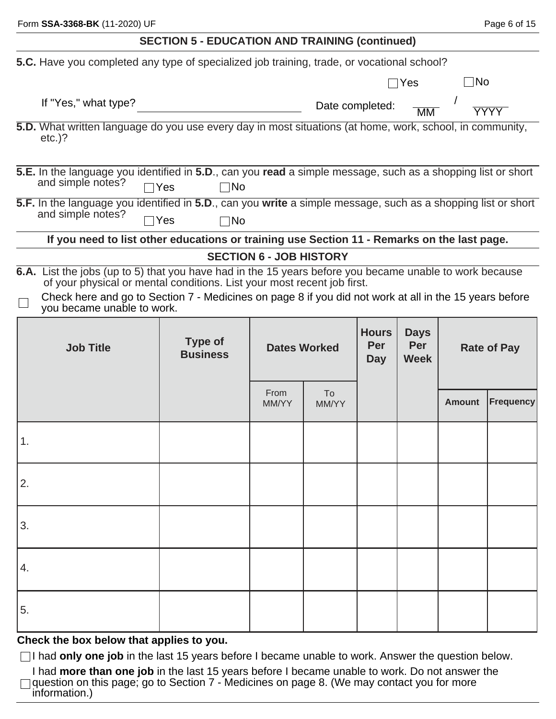|    | Form SSA-3368-BK (11-2020) UF                                                                                                                                                                                                                                                                                              |                                                       |                                                          |                 |                                   |                |                    | Page 6 of 15 |
|----|----------------------------------------------------------------------------------------------------------------------------------------------------------------------------------------------------------------------------------------------------------------------------------------------------------------------------|-------------------------------------------------------|----------------------------------------------------------|-----------------|-----------------------------------|----------------|--------------------|--------------|
|    |                                                                                                                                                                                                                                                                                                                            | <b>SECTION 5 - EDUCATION AND TRAINING (continued)</b> |                                                          |                 |                                   |                |                    |              |
|    | 5.C. Have you completed any type of specialized job training, trade, or vocational school?                                                                                                                                                                                                                                 |                                                       |                                                          |                 |                                   |                |                    |              |
|    |                                                                                                                                                                                                                                                                                                                            |                                                       |                                                          |                 |                                   | $\sqcap$ Yes   | $\Box$ No          |              |
|    | If "Yes," what type?                                                                                                                                                                                                                                                                                                       |                                                       |                                                          | Date completed: |                                   | M <sub>M</sub> |                    | <b>YYYY</b>  |
|    | 5.D. What written language do you use every day in most situations (at home, work, school, in community,<br>$etc.$ )?                                                                                                                                                                                                      |                                                       |                                                          |                 |                                   |                |                    |              |
|    | 5.E. In the language you identified in 5.D., can you read a simple message, such as a shopping list or short<br>and simple notes?                                                                                                                                                                                          | $\exists$ Yes<br>$\Box$ No                            |                                                          |                 |                                   |                |                    |              |
|    | 5.F. In the language you identified in 5.D., can you write a simple message, such as a shopping list or short<br>and simple notes?                                                                                                                                                                                         | $\neg$ Yes<br>⊺No                                     |                                                          |                 |                                   |                |                    |              |
|    | If you need to list other educations or training use Section 11 - Remarks on the last page.                                                                                                                                                                                                                                |                                                       |                                                          |                 |                                   |                |                    |              |
|    | 6.A. List the jobs (up to 5) that you have had in the 15 years before you became unable to work because<br>of your physical or mental conditions. List your most recent job first.<br>Check here and go to Section 7 - Medicines on page 8 if you did not work at all in the 15 years before<br>you became unable to work. |                                                       | <b>SECTION 6 - JOB HISTORY</b>                           |                 |                                   |                |                    |              |
|    | <b>Job Title</b>                                                                                                                                                                                                                                                                                                           | Type of<br><b>Business</b>                            | <b>Hours</b><br>Per<br><b>Dates Worked</b><br><b>Day</b> |                 | <b>Days</b><br>Per<br><b>Week</b> |                | <b>Rate of Pay</b> |              |
|    |                                                                                                                                                                                                                                                                                                                            |                                                       | From<br>MM/YY                                            | To<br>MM/YY     |                                   |                | <b>Amount</b>      | Frequency    |
| 1. |                                                                                                                                                                                                                                                                                                                            |                                                       |                                                          |                 |                                   |                |                    |              |
| 2. |                                                                                                                                                                                                                                                                                                                            |                                                       |                                                          |                 |                                   |                |                    |              |
| 3. |                                                                                                                                                                                                                                                                                                                            |                                                       |                                                          |                 |                                   |                |                    |              |
| 4. |                                                                                                                                                                                                                                                                                                                            |                                                       |                                                          |                 |                                   |                |                    |              |
| 5. |                                                                                                                                                                                                                                                                                                                            |                                                       |                                                          |                 |                                   |                |                    |              |
|    | Check the box below that applies to you.                                                                                                                                                                                                                                                                                   |                                                       |                                                          |                 |                                   |                |                    |              |

□I had only one job in the last 15 years before I became unable to work. Answer the question below.

I had **more than one job** in the last 15 years before I became unable to work. Do not answer the question on this page; go to Section 7 - Medicines on page 8. (We may contact you for more information.)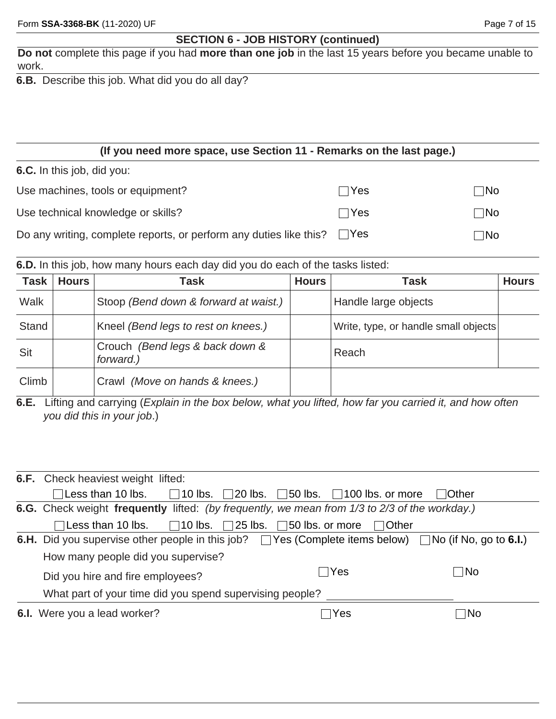## **SECTION 6 - JOB HISTORY (continued)**

**Do not** complete this page if you had **more than one job** in the last 15 years before you became unable to work.

**6.B.** Describe this job. What did you do all day?

#### **(If you need more space, use Section 11 - Remarks on the last page.) 6.C.** In this job, did you: Use machines, tools or equipment? Use technical knowledge or skills? Do any writing, complete reports, or perform any duties like this?  $\Box$  Yes  $\Box$ Yes  $\Box$ No  $\Box$  Yes  $\Box$  No  $\Box$ No

**6.D.** In this job, how many hours each day did you do each of the tasks listed:

| <b>Task</b>  | <b>Hours</b> | Task                                         | <b>Hours</b> | <b>Task</b>                          | <b>Hours</b> |
|--------------|--------------|----------------------------------------------|--------------|--------------------------------------|--------------|
| Walk         |              | Stoop (Bend down & forward at waist.)        |              | Handle large objects                 |              |
| <b>Stand</b> |              | Kneel (Bend legs to rest on knees.)          |              | Write, type, or handle small objects |              |
| Sit          |              | Crouch (Bend legs & back down &<br>forward.) |              | Reach                                |              |
| Climb        |              | Crawl (Move on hands & knees.)               |              |                                      |              |

**6.E.** Lifting and carrying (*Explain in the box below, what you lifted, how far you carried it, and how often you did this in your job*.)

| <b>6.F.</b> Check heaviest weight lifted:                                                                               |                      |             |
|-------------------------------------------------------------------------------------------------------------------------|----------------------|-------------|
| $\Box$ Less than 10 lbs. $\Box$ 10 lbs. $\Box$ 20 lbs. $\Box$ 50 lbs. $\Box$ 100 lbs. or more $\Box$ Other              |                      |             |
| 6.G. Check weight frequently lifted: (by frequently, we mean from 1/3 to 2/3 of the workday.)                           |                      |             |
| $\Box$ Less than 10 lbs. $\Box$ 10 lbs. $\Box$ 25 lbs. $\Box$ 50 lbs. or more                                           | ∣ IOther             |             |
| <b>6.H.</b> Did you supervise other people in this job? $\Box$ Yes (Complete items below) $\Box$ No (if No, go to 6.I.) |                      |             |
| How many people did you supervise?                                                                                      |                      |             |
| Did you hire and fire employees?                                                                                        | Yes<br>$\mathcal{L}$ | $\sqcap$ No |
| What part of your time did you spend supervising people?                                                                |                      |             |
| 6.I. Were you a lead worker?                                                                                            | Yes                  | ∣ ∣No       |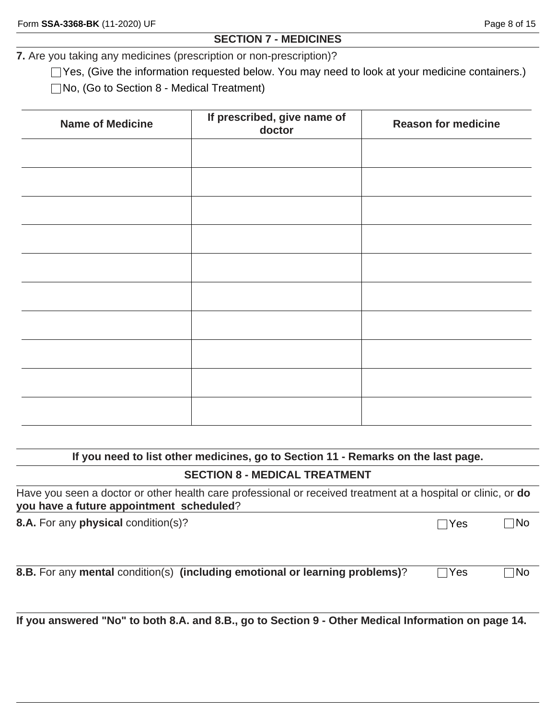#### **SECTION 7 - MEDICINES**

**7.** Are you taking any medicines (prescription or non-prescription)?

□ Yes, (Give the information requested below. You may need to look at your medicine containers.)

No, (Go to Section 8 - Medical Treatment)

| <b>Name of Medicine</b> | If prescribed, give name of<br>doctor | <b>Reason for medicine</b> |
|-------------------------|---------------------------------------|----------------------------|
|                         |                                       |                            |
|                         |                                       |                            |
|                         |                                       |                            |
|                         |                                       |                            |
|                         |                                       |                            |
|                         |                                       |                            |
|                         |                                       |                            |
|                         |                                       |                            |
|                         |                                       |                            |
|                         |                                       |                            |

#### **If you need to list other medicines, go to Section 11 - Remarks on the last page.**

#### **SECTION 8 - MEDICAL TREATMENT**

| Have you seen a doctor or other health care professional or received treatment at a hospital or clinic, or do |  |
|---------------------------------------------------------------------------------------------------------------|--|
| you have a future appointment scheduled?                                                                      |  |

**8.A.** For any **physical** condition(s)? No analyzed a set of the No and No and No and No and No and No and No and No

**8.B.** For any mental condition(s) (including emotional or learning problems)? Thes Tho

**If you answered "No" to both 8.A. and 8.B., go to Section 9 - Other Medical Information on page 14.**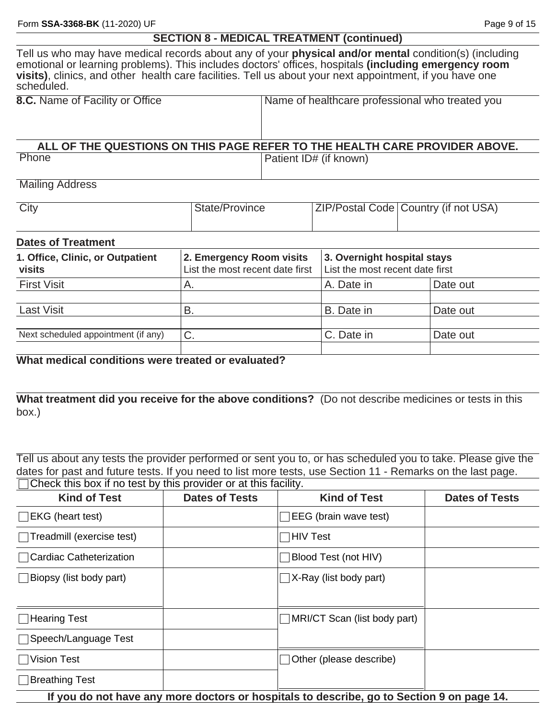Tell us who may have medical records about any of your **physical and/or mental** condition(s) (including emotional or learning problems). This includes doctors' offices, hospitals **(including emergency room visits)**, clinics, and other health care facilities. Tell us about your next appointment, if you have one scheduled.

| 8.C. Name of Facility or Office | Name of healthcare professional who treated you                            |
|---------------------------------|----------------------------------------------------------------------------|
|                                 | ALL OF THE QUESTIONS ON THIS PAGE REFER TO THE HEALTH CARE PROVIDER ABOVE. |
| Phone                           | Patient ID# (if known)                                                     |

Mailing Address

| City | State/Province | <b>ZIP/Postal Code   Country (if not USA)</b> |
|------|----------------|-----------------------------------------------|
|      |                |                                               |

#### **Dates of Treatment**

| 2. Emergency Room visits<br>List the most recent date first<br>Α. | 3. Overnight hospital stays<br>List the most recent date first |          |
|-------------------------------------------------------------------|----------------------------------------------------------------|----------|
|                                                                   | A. Date in                                                     | Date out |
| В.                                                                | B. Date in                                                     | Date out |
| C.                                                                | C. Date in                                                     | Date out |
|                                                                   |                                                                |          |

**What medical conditions were treated or evaluated?**

**What treatment did you receive for the above conditions?** (Do not describe medicines or tests in this box.)

Tell us about any tests the provider performed or sent you to, or has scheduled you to take. Please give the dates for past and future tests. If you need to list more tests, use Section 11 - Remarks on the last page. Check this box if no test by this provider or at this facility.

| <b>Kind of Test</b>            | <b>Dates of Tests</b>                                                                     | <b>Kind of Test</b>          | <b>Dates of Tests</b> |  |
|--------------------------------|-------------------------------------------------------------------------------------------|------------------------------|-----------------------|--|
| $\Box$ EKG (heart test)        |                                                                                           | EEG (brain wave test)        |                       |  |
| Treadmill (exercise test)      |                                                                                           | HIV Test                     |                       |  |
| □ Cardiac Catheterization      |                                                                                           | Blood Test (not HIV)         |                       |  |
| $\Box$ Biopsy (list body part) |                                                                                           | X-Ray (list body part)       |                       |  |
| $\Box$ Hearing Test            |                                                                                           | MRI/CT Scan (list body part) |                       |  |
| □ Speech/Language Test         |                                                                                           |                              |                       |  |
| <b>Vision Test</b>             |                                                                                           | Other (please describe)      |                       |  |
| Breathing Test                 |                                                                                           |                              |                       |  |
|                                | If you do not have any more doctors or hospitals to describe, go to Section 9 on page 14. |                              |                       |  |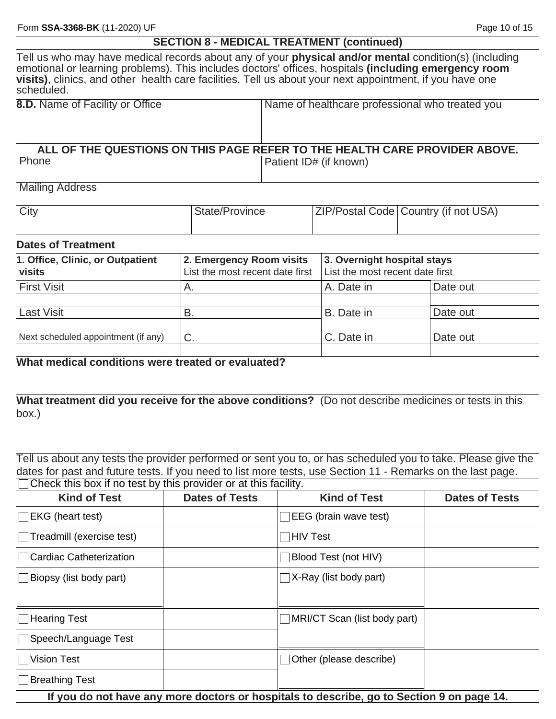Tell us who may have medical records about any of your **physical and/or mental** condition(s) (including emotional or learning problems). This includes doctors' offices, hospitals **(including emergency room visits)**, clinics, and other health care facilities. Tell us about your next appointment, if you have one scheduled.

| <b>8.D.</b> Name of Facility or Office | Name of healthcare professional who treated you                            |
|----------------------------------------|----------------------------------------------------------------------------|
|                                        |                                                                            |
|                                        | ALL OF THE QUESTIONS ON THIS PAGE REFER TO THE HEALTH CARE PROVIDER ABOVE. |
| Phone                                  | Patient ID# (if known)                                                     |

## Mailing Address

| City | State/Province | <b>ZIP/Postal Code Country (if not USA)</b> |
|------|----------------|---------------------------------------------|
|      |                |                                             |

## **Dates of Treatment**

| 1. Office, Clinic, or Outpatient<br><b>visits</b> | 2. Emergency Room visits<br>List the most recent date first | 3. Overnight hospital stays<br>List the most recent date first |          |
|---------------------------------------------------|-------------------------------------------------------------|----------------------------------------------------------------|----------|
| <b>First Visit</b>                                | Α.                                                          | A. Date in                                                     | Date out |
| <b>Last Visit</b>                                 | B                                                           | B. Date in                                                     | Date out |
| Next scheduled appointment (if any)               | C.                                                          | C. Date in                                                     | Date out |

**What medical conditions were treated or evaluated?**

**What treatment did you receive for the above conditions?** (Do not describe medicines or tests in this box.)

Tell us about any tests the provider performed or sent you to, or has scheduled you to take. Please give the dates for past and future tests. If you need to list more tests, use Section 11 - Remarks on the last page. Check this box if no test by this provider or at this facility.

| <b>Kind of Test</b>              | <b>Dates of Tests</b> | <b>Kind of Test</b>                                                                              | <b>Dates of Tests</b> |
|----------------------------------|-----------------------|--------------------------------------------------------------------------------------------------|-----------------------|
| $\Box$ EKG (heart test)          |                       | $\Box$ EEG (brain wave test)                                                                     |                       |
| $\Box$ Treadmill (exercise test) |                       | $\Box$ HIV Test                                                                                  |                       |
| $\sqcap$ Cardiac Catheterization |                       | <b>Blood Test (not HIV)</b>                                                                      |                       |
| $\Box$ Biopsy (list body part)   |                       | $\Box$ X-Ray (list body part)                                                                    |                       |
| $\Box$ Hearing Test              |                       | $\Box$ MRI/CT Scan (list body part)                                                              |                       |
| Speech/Language Test             |                       |                                                                                                  |                       |
| $\Box$ Vision Test               |                       | $\Box$ Other (please describe)                                                                   |                       |
| □Breathing Test                  |                       |                                                                                                  |                       |
|                                  |                       | If you also not have any more algotoms on hoowitals to also suites, as to Continue O on mone 4.4 |                       |

**If you do not have any more doctors or hospitals to describe, go to Section 9 on page 14.**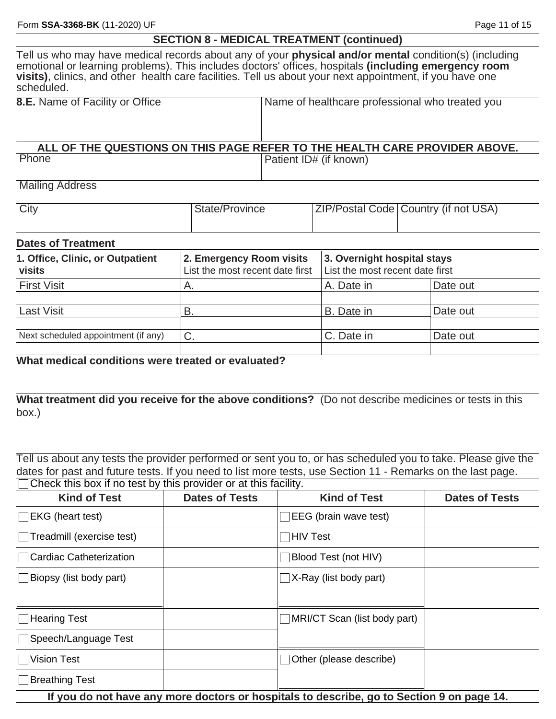| <b>SECTION 8 - MEDICAL TREATMENT (continued)</b> |  |
|--------------------------------------------------|--|
|--------------------------------------------------|--|

Tell us who may have medical records about any of your **physical and/or mental** condition(s) (including emotional or learning problems). This includes doctors' offices, hospitals **(including emergency room visits)**, clinics, and other health care facilities. Tell us about your next appointment, if you have one scheduled.

| <b>8.E.</b> Name of Facility or Office | Name of healthcare professional who treated you                            |
|----------------------------------------|----------------------------------------------------------------------------|
|                                        |                                                                            |
|                                        |                                                                            |
|                                        |                                                                            |
|                                        |                                                                            |
|                                        | ALL OF THE QUESTIONS ON THIS PAGE REFER TO THE HEALTH CARE PROVIDER ABOVE. |
| Phone                                  | <b>Patient ID# (if known)</b>                                              |

Mailing Address

| City | State/Province | ZIP/Postal Code   Country (if not USA) |
|------|----------------|----------------------------------------|
|      |                |                                        |

#### **Dates of Treatment**

| 1. Office, Clinic, or Outpatient<br>visits | 2. Emergency Room visits<br>List the most recent date first | 3. Overnight hospital stays<br>List the most recent date first |          |
|--------------------------------------------|-------------------------------------------------------------|----------------------------------------------------------------|----------|
| <b>First Visit</b>                         | Α.                                                          | A. Date in                                                     | Date out |
| Last Visit                                 | B                                                           | B. Date in                                                     | Date out |
| Next scheduled appointment (if any)        | $C$ .                                                       | C. Date in                                                     | Date out |

**What medical conditions were treated or evaluated?**

**What treatment did you receive for the above conditions?** (Do not describe medicines or tests in this box.)

Tell us about any tests the provider performed or sent you to, or has scheduled you to take. Please give the dates for past and future tests. If you need to list more tests, use Section 11 - Remarks on the last page. Check this box if no test by this provider or at this facility.

| <b>Kind of Test</b>                                                                       | <b>Dates of Tests</b> | <b>Kind of Test</b>          | <b>Dates of Tests</b> |
|-------------------------------------------------------------------------------------------|-----------------------|------------------------------|-----------------------|
| $\Box$ EKG (heart test)                                                                   |                       | EEG (brain wave test)        |                       |
| Treadmill (exercise test)                                                                 |                       | <b>HIV Test</b>              |                       |
| □ Cardiac Catheterization                                                                 |                       | Blood Test (not HIV)         |                       |
| $\Box$ Biopsy (list body part)                                                            |                       | X-Ray (list body part)       |                       |
|                                                                                           |                       |                              |                       |
| □Hearing Test                                                                             |                       | MRI/CT Scan (list body part) |                       |
| □ Speech/Language Test                                                                    |                       |                              |                       |
| <b>Vision Test</b>                                                                        |                       | Other (please describe)      |                       |
| Breathing Test                                                                            |                       |                              |                       |
| If you do not have any more doctors or hospitals to describe, go to Section 9 on page 14. |                       |                              |                       |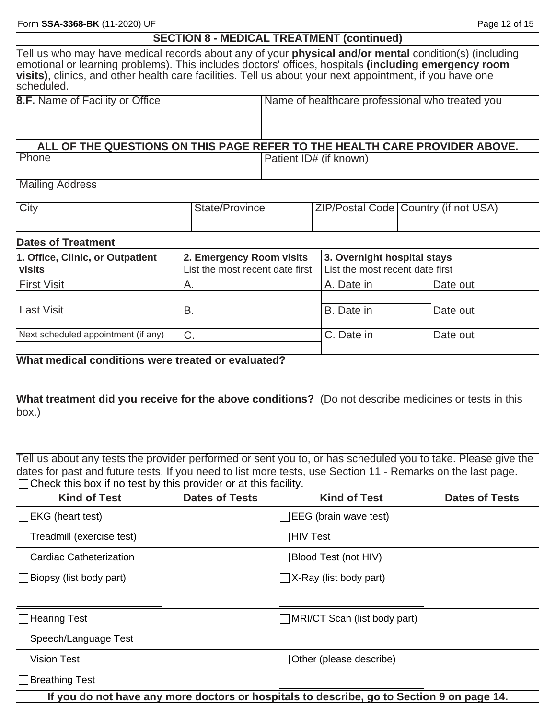Tell us who may have medical records about any of your **physical and/or mental** condition(s) (including emotional or learning problems). This includes doctors' offices, hospitals **(including emergency room visits)**, clinics, and other health care facilities. Tell us about your next appointment, if you have one scheduled.

| <b>8.F.</b> Name of Facility or Office | Name of healthcare professional who treated you                            |
|----------------------------------------|----------------------------------------------------------------------------|
|                                        |                                                                            |
|                                        | ALL OF THE QUESTIONS ON THIS PAGE REFER TO THE HEALTH CARE PROVIDER ABOVE. |
| Phone                                  | Patient ID# (if known)                                                     |

#### Mailing Address

| City | State/Province | <b>ZIP/Postal Code   Country (if not USA)</b> |
|------|----------------|-----------------------------------------------|
|      |                |                                               |

#### **Dates of Treatment**

| 1. Office, Clinic, or Outpatient<br>visits | 2. Emergency Room visits<br>List the most recent date first | 3. Overnight hospital stays<br>List the most recent date first |          |  |
|--------------------------------------------|-------------------------------------------------------------|----------------------------------------------------------------|----------|--|
| <b>First Visit</b>                         | Α.                                                          | A. Date in                                                     | Date out |  |
| <b>Last Visit</b>                          | В.                                                          | B. Date in                                                     | Date out |  |
| Next scheduled appointment (if any)        | $\sim$<br>U.                                                | C. Date in                                                     | Date out |  |

## **What medical conditions were treated or evaluated?**

**What treatment did you receive for the above conditions?** (Do not describe medicines or tests in this box.)

Tell us about any tests the provider performed or sent you to, or has scheduled you to take. Please give the dates for past and future tests. If you need to list more tests, use Section 11 - Remarks on the last page. Check this box if no test by this provider or at this facility.

| <b>Kind of Test</b>              | <b>Dates of Tests</b> | <b>Kind of Test</b>                                                                       | <b>Dates of Tests</b> |
|----------------------------------|-----------------------|-------------------------------------------------------------------------------------------|-----------------------|
| $\Box$ EKG (heart test)          |                       | $\Box$ EEG (brain wave test)                                                              |                       |
| Treadmill (exercise test)        |                       | $\Box$ HIV Test                                                                           |                       |
| $\sqcap$ Cardiac Catheterization |                       | Blood Test (not HIV)                                                                      |                       |
| $\Box$ Biopsy (list body part)   |                       | $\Box$ X-Ray (list body part)                                                             |                       |
| □Hearing Test                    |                       | $\Box$ MRI/CT Scan (list body part)                                                       |                       |
| □ Speech/Language Test           |                       |                                                                                           |                       |
| <b>Vision Test</b>               |                       | $\Box$ Other (please describe)                                                            |                       |
| □Breathing Test                  |                       |                                                                                           |                       |
|                                  |                       | If you do not have any more doctors or hospitals to describe, go to Section 9 on page 14. |                       |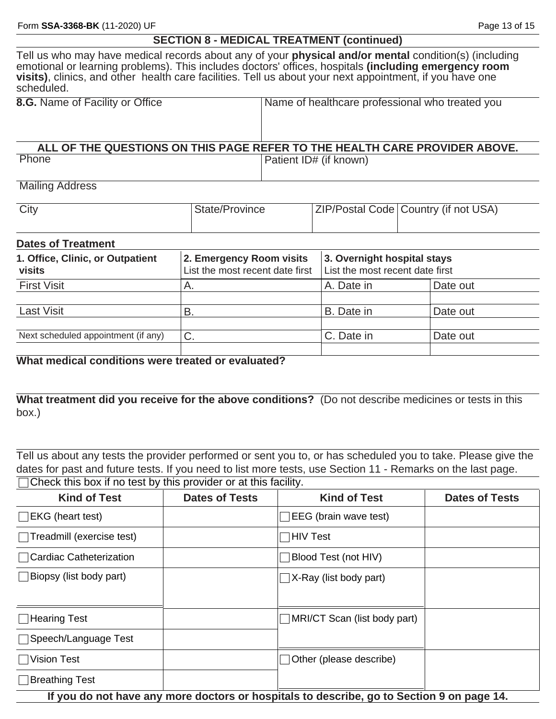Tell us who may have medical records about any of your **physical and/or mental** condition(s) (including emotional or learning problems). This includes doctors' offices, hospitals **(including emergency room visits)**, clinics, and other health care facilities. Tell us about your next appointment, if you have one scheduled.

| 8.G. Name of Facility or Office | Name of healthcare professional who treated you                            |
|---------------------------------|----------------------------------------------------------------------------|
| Phone                           | ALL OF THE QUESTIONS ON THIS PAGE REFER TO THE HEALTH CARE PROVIDER ABOVE. |
|                                 | Patient ID# (if known)                                                     |

Mailing Address

| City | State/Province | <b>ZIP/Postal Code Country (if not USA)</b> |
|------|----------------|---------------------------------------------|
|      |                |                                             |

#### **Dates of Treatment**

| 1. Office, Clinic, or Outpatient<br><b>visits</b> | 2. Emergency Room visits<br>List the most recent date first | 3. Overnight hospital stays<br>List the most recent date first |          |
|---------------------------------------------------|-------------------------------------------------------------|----------------------------------------------------------------|----------|
| <b>First Visit</b>                                | A.                                                          | A. Date in                                                     | Date out |
| Last Visit                                        | В.                                                          | B. Date in                                                     | Date out |
| Next scheduled appointment (if any)               | $\curvearrowright$<br>U.                                    | C. Date in                                                     | Date out |

**What medical conditions were treated or evaluated?**

**What treatment did you receive for the above conditions?** (Do not describe medicines or tests in this box.)

Tell us about any tests the provider performed or sent you to, or has scheduled you to take. Please give the dates for past and future tests. If you need to list more tests, use Section 11 - Remarks on the last page.  $\Box$  Check this box if no test by this provider or at this facility.

| <b>Kind of Test</b>                                                                       | <b>Dates of Tests</b> | <b>Kind of Test</b>                       | <b>Dates of Tests</b> |  |
|-------------------------------------------------------------------------------------------|-----------------------|-------------------------------------------|-----------------------|--|
| $\Box$ EKG (heart test)                                                                   |                       | EEG (brain wave test)                     |                       |  |
| Treadmill (exercise test)                                                                 |                       | HIV Test                                  |                       |  |
| Cardiac Catheterization                                                                   |                       | Blood Test (not HIV)                      |                       |  |
| Biopsy (list body part)                                                                   |                       | X-Ray (list body part)<br>$\vert$ $\vert$ |                       |  |
| $\sqcap$ Hearing Test                                                                     |                       | MRI/CT Scan (list body part)              |                       |  |
| □Speech/Language Test                                                                     |                       |                                           |                       |  |
| Vision Test                                                                               |                       | Other (please describe)                   |                       |  |
| □Breathing Test                                                                           |                       |                                           |                       |  |
| If you do not have any more doctors or hospitals to describe, go to Section 9 on page 14. |                       |                                           |                       |  |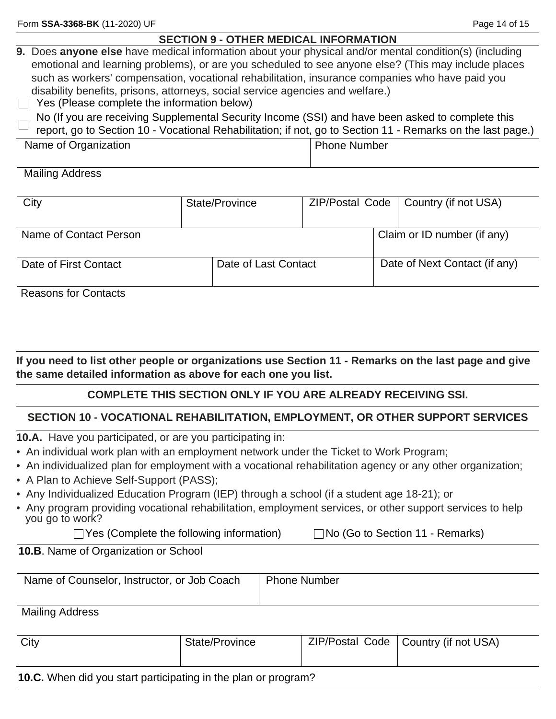## **SECTION 9 - OTHER MEDICAL INFORMATION**

| 9. Does anyone else have medical information about your physical and/or mental condition(s) (including |
|--------------------------------------------------------------------------------------------------------|
| emotional and learning problems), or are you scheduled to see anyone else? (This may include places    |
| such as workers' compensation, vocational rehabilitation, insurance companies who have paid you        |
| disability benefits, prisons, attorneys, social service agencies and welfare.)                         |

 $\Box$  Yes (Please complete the information below)

No (If you are receiving Supplemental Security Income (SSI) and have been asked to complete this report, go to Section 10 - Vocational Rehabilitation; if not, go to Section 11 - Remarks on the last page.)

| Name of Organization | Phone Number |
|----------------------|--------------|
|                      |              |

#### Mailing Address

| City                   | State/Province       |  | ZIP/Postal Code   Country (if not USA) |
|------------------------|----------------------|--|----------------------------------------|
| Name of Contact Person |                      |  | Claim or ID number (if any)            |
| Date of First Contact  | Date of Last Contact |  | Date of Next Contact (if any)          |

Reasons for Contacts

**If you need to list other people or organizations use Section 11 - Remarks on the last page and give the same detailed information as above for each one you list.**

## **COMPLETE THIS SECTION ONLY IF YOU ARE ALREADY RECEIVING SSI.**

## **SECTION 10 - VOCATIONAL REHABILITATION, EMPLOYMENT, OR OTHER SUPPORT SERVICES**

**10.A.** Have you participated, or are you participating in:

- An individual work plan with an employment network under the Ticket to Work Program;
- An individualized plan for employment with a vocational rehabilitation agency or any other organization;
- A Plan to Achieve Self-Support (PASS);
- Any Individualized Education Program (IEP) through a school (if a student age 18-21); or
- Any program providing vocational rehabilitation, employment services, or other support services to help you go to work?

 $\Box$  Yes (Complete the following information)  $\Box$  No (Go to Section 11 - Remarks)

#### **10.B**. Name of Organization or School

| Name of Counselor, Instructor, or Job Coach | Phone Number |
|---------------------------------------------|--------------|
|                                             |              |

Mailing Address

| City        | State/Province |  | ZIP/Postal Code   Country (if not USA) |
|-------------|----------------|--|----------------------------------------|
|             |                |  |                                        |
| .<br>.<br>. |                |  |                                        |

#### **10.C.** When did you start participating in the plan or program?